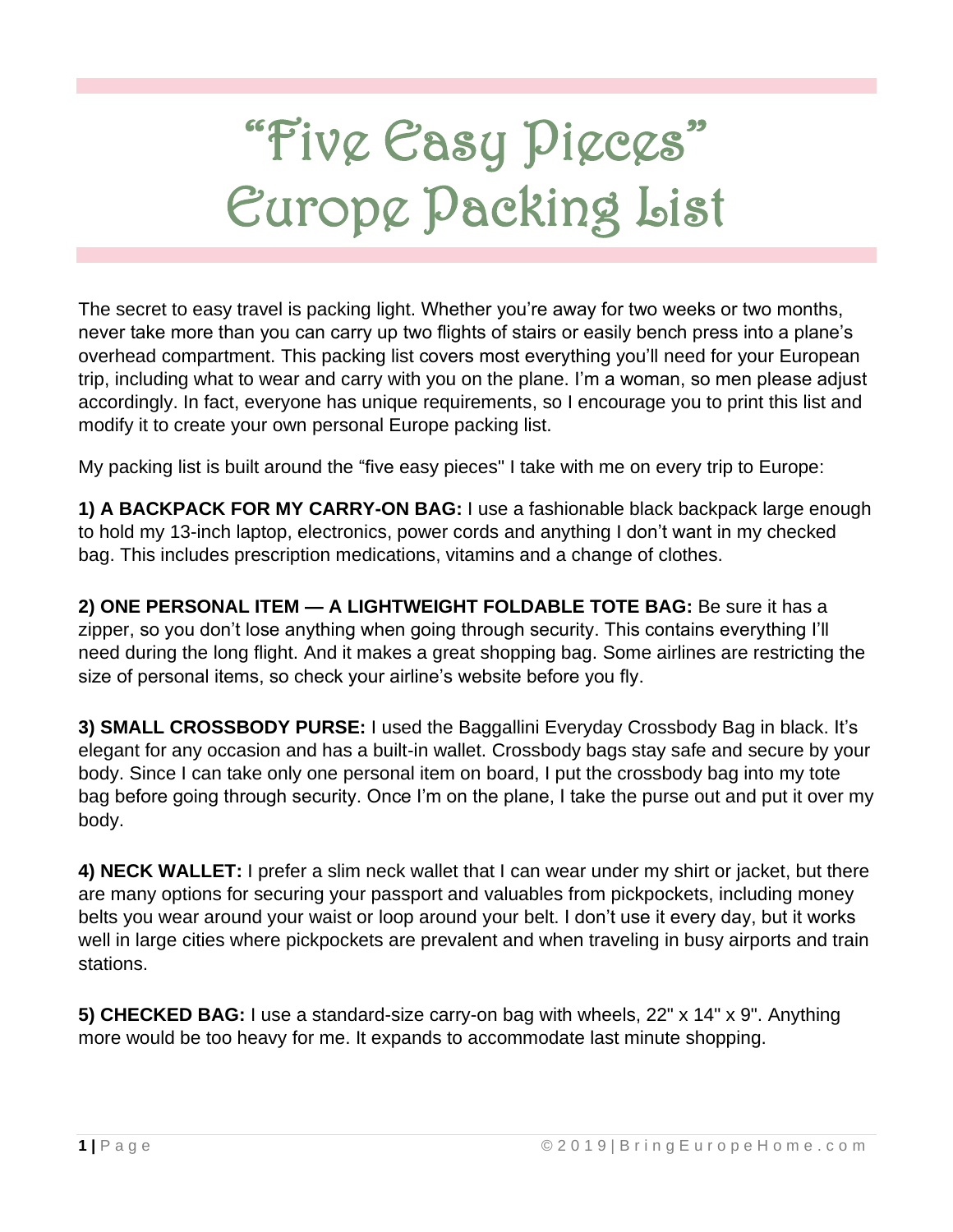# "Five Easy Pieces" Europe Packing List

The secret to easy travel is packing light. Whether you're away for two weeks or two months, never take more than you can carry up two flights of stairs or easily bench press into a plane's overhead compartment. This packing list covers most everything you'll need for your European trip, including what to wear and carry with you on the plane. I'm a woman, so men please adjust accordingly. In fact, everyone has unique requirements, so I encourage you to print this list and modify it to create your own personal Europe packing list.

My packing list is built around the "five easy pieces" I take with me on every trip to Europe:

**1) A BACKPACK FOR MY CARRY-ON BAG:** I use a fashionable black backpack large enough to hold my 13-inch laptop, electronics, power cords and anything I don't want in my checked bag. This includes prescription medications, vitamins and a change of clothes.

**2) ONE PERSONAL ITEM — A LIGHTWEIGHT FOLDABLE TOTE BAG:** Be sure it has a zipper, so you don't lose anything when going through security. This contains everything I'll need during the long flight. And it makes a great shopping bag. Some airlines are restricting the size of personal items, so check your airline's website before you fly.

**3) SMALL CROSSBODY PURSE:** I used the Baggallini Everyday Crossbody Bag in black. It's elegant for any occasion and has a built-in wallet. Crossbody bags stay safe and secure by your body. Since I can take only one personal item on board, I put the crossbody bag into my tote bag before going through security. Once I'm on the plane, I take the purse out and put it over my body.

**4) NECK WALLET:** I prefer a slim neck wallet that I can wear under my shirt or jacket, but there are many options for securing your passport and valuables from pickpockets, including money belts you wear around your waist or loop around your belt. I don't use it every day, but it works well in large cities where pickpockets are prevalent and when traveling in busy airports and train stations.

**5) CHECKED BAG:** I use a standard-size carry-on bag with wheels, 22" x 14" x 9". Anything more would be too heavy for me. It expands to accommodate last minute shopping.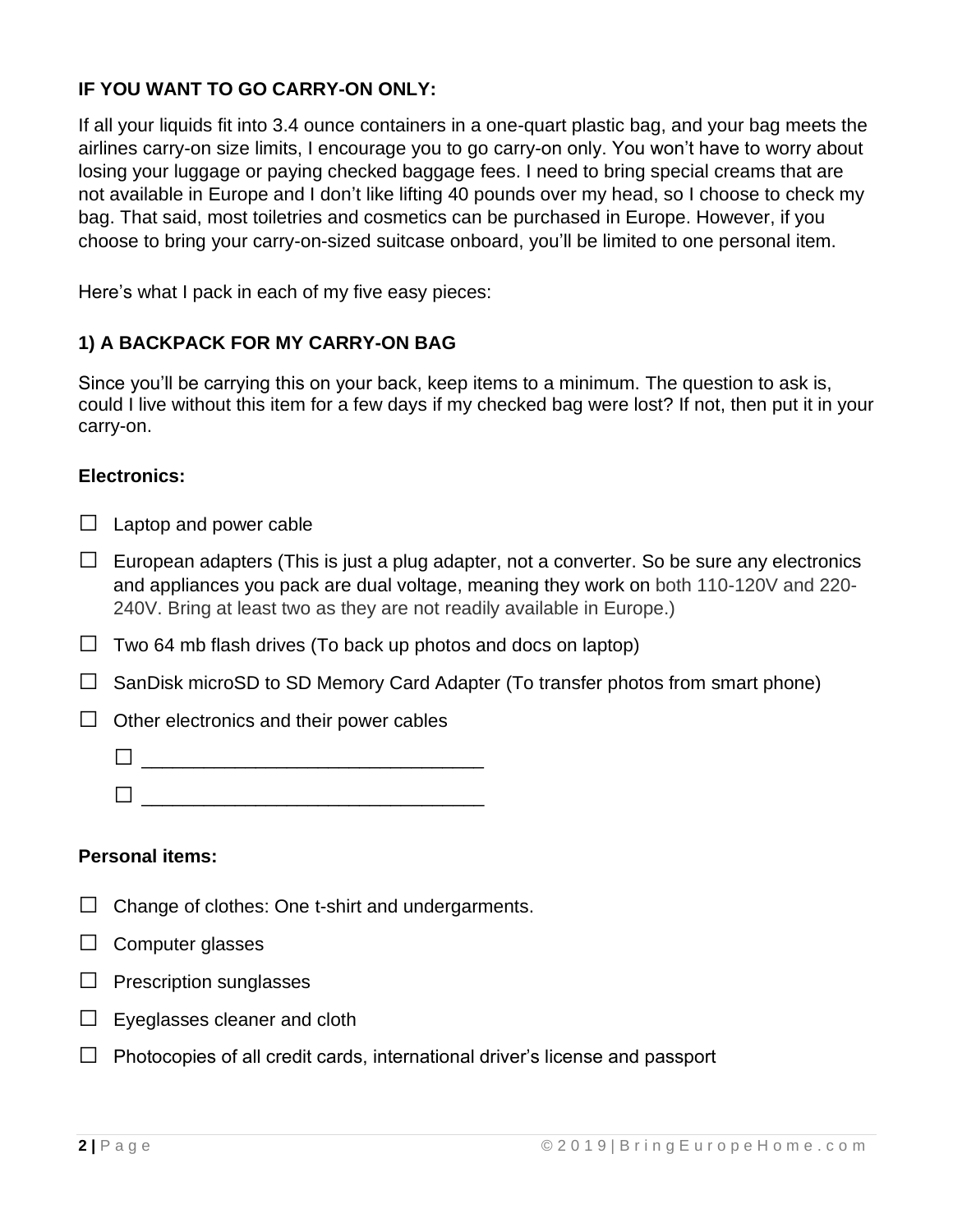# **IF YOU WANT TO GO CARRY-ON ONLY:**

If all your liquids fit into 3.4 ounce containers in a one-quart plastic bag, and your bag meets the airlines carry-on size limits, I encourage you to go carry-on only. You won't have to worry about losing your luggage or paying checked baggage fees. I need to bring special creams that are not available in Europe and I don't like lifting 40 pounds over my head, so I choose to check my bag. That said, most toiletries and cosmetics can be purchased in Europe. However, if you choose to bring your carry-on-sized suitcase onboard, you'll be limited to one personal item.

Here's what I pack in each of my five easy pieces:

# **1) A BACKPACK FOR MY CARRY-ON BAG**

Since you'll be carrying this on your back, keep items to a minimum. The question to ask is, could I live without this item for a few days if my checked bag were lost? If not, then put it in your carry-on.

#### **Electronics:**

 $\Box$  Laptop and power cable

- $\Box$  European adapters (This is just a plug adapter, not a converter. So be sure any electronics and appliances you pack are dual voltage, meaning they work on both 110-120V and 220- 240V. Bring at least two as they are not readily available in Europe.)
- $\Box$  Two 64 mb flash drives (To back up photos and docs on laptop)
- $\Box$  SanDisk microSD to SD Memory Card Adapter (To transfer photos from smart phone)
- $\Box$  Other electronics and their power cables
	- □ \_\_\_\_\_\_\_\_\_\_\_\_\_\_\_\_\_\_\_\_\_\_\_\_\_\_\_\_\_\_\_\_\_
	- □ \_\_\_\_\_\_\_\_\_\_\_\_\_\_\_\_\_\_\_\_\_\_\_\_\_\_\_\_\_\_\_\_\_

#### **Personal items:**

- $\Box$  Change of clothes: One t-shirt and undergarments.
- $\Box$  Computer glasses
- $\Box$  Prescription sunglasses
- $\Box$  Eyeglasses cleaner and cloth
- $\Box$  Photocopies of all credit cards, international driver's license and passport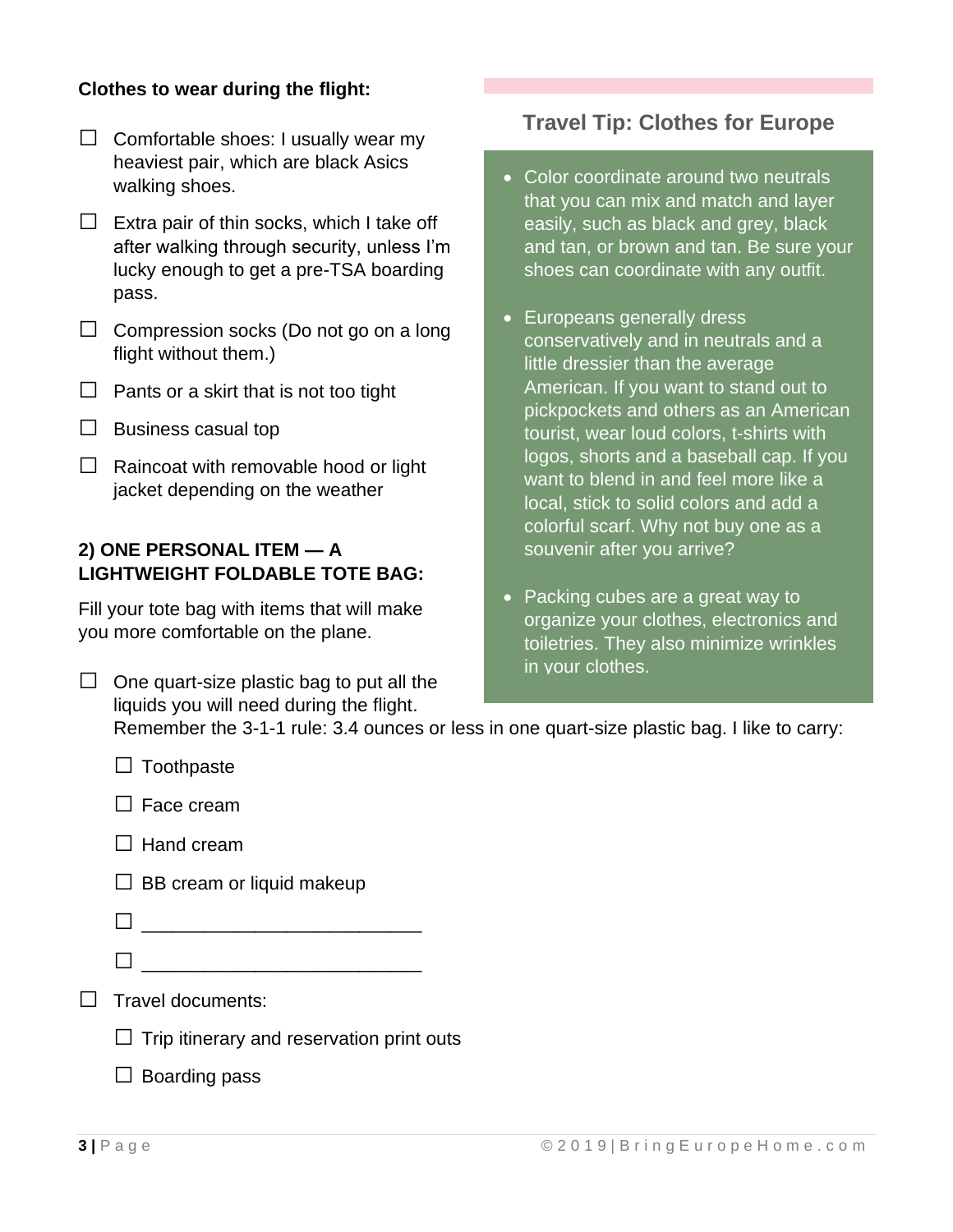# **Clothes to wear during the flight:**

- $\Box$  Comfortable shoes: I usually wear my heaviest pair, which are black Asics walking shoes.
- $\Box$  Extra pair of thin socks, which I take off after walking through security, unless I'm lucky enough to get a pre-TSA boarding pass.
- $\Box$  Compression socks (Do not go on a long flight without them.)
- $\Box$  Pants or a skirt that is not too tight
- $\Box$  Business casual top
- $\Box$  Raincoat with removable hood or light jacket depending on the weather

### **2) ONE PERSONAL ITEM — A LIGHTWEIGHT FOLDABLE TOTE BAG:**

Fill your tote bag with items that will make you more comfortable on the plane.

 $\Box$  One quart-size plastic bag to put all the liquids you will need during the flight.

# **Travel Tip: Clothes for Europe**

- Color coordinate around two neutrals that you can mix and match and layer easily, such as black and grey, black and tan, or brown and tan. Be sure your shoes can coordinate with any outfit.
- Europeans generally dress conservatively and in neutrals and a little dressier than the average American. If you want to stand out to pickpockets and others as an American tourist, wear loud colors, t-shirts with logos, shorts and a baseball cap. If you want to blend in and feel more like a local, stick to solid colors and add a colorful scarf. Why not buy one as a souvenir after you arrive?
- Packing cubes are a great way to organize your clothes, electronics and toiletries. They also minimize wrinkles in your clothes.

Remember the 3-1-1 rule: 3.4 ounces or less in one quart-size plastic bag. I like to carry:

| $\Box$ Toothpaste                                |
|--------------------------------------------------|
| $\Box$ Face cream                                |
| $\Box$ Hand cream                                |
| $\Box$ BB cream or liquid makeup                 |
|                                                  |
|                                                  |
| Travel documents:                                |
| $\Box$ Trip itinerary and reservation print outs |
| Boarding pass                                    |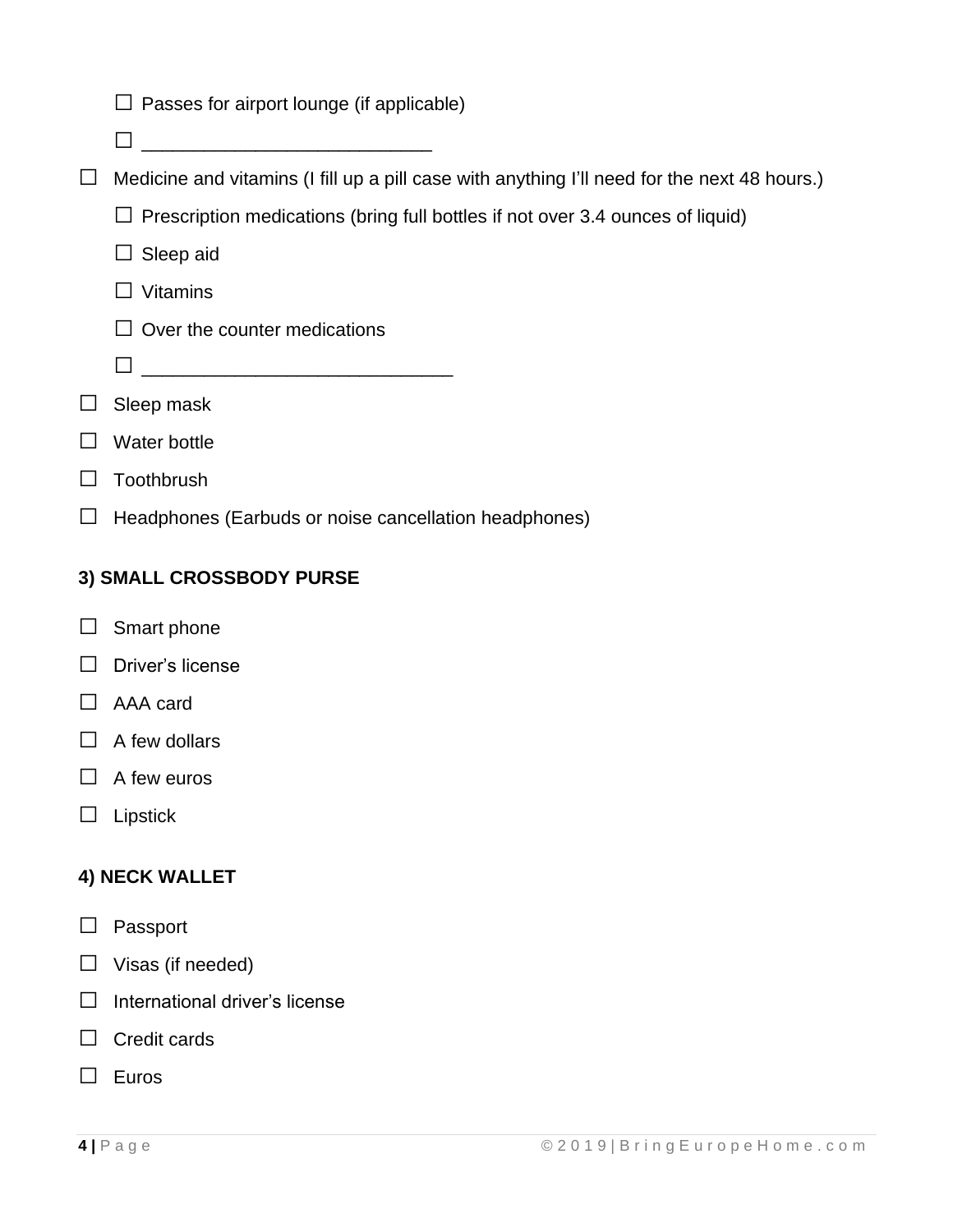|                          | $\Box$ Passes for airport lounge (if applicable)                                             |  |
|--------------------------|----------------------------------------------------------------------------------------------|--|
|                          |                                                                                              |  |
| $\Box$                   | Medicine and vitamins (I fill up a pill case with anything I'll need for the next 48 hours.) |  |
|                          | $\Box$ Prescription medications (bring full bottles if not over 3.4 ounces of liquid)        |  |
|                          | Sleep aid                                                                                    |  |
|                          | <b>Vitamins</b>                                                                              |  |
|                          | Over the counter medications                                                                 |  |
|                          |                                                                                              |  |
|                          | Sleep mask                                                                                   |  |
|                          | Water bottle                                                                                 |  |
|                          | Toothbrush                                                                                   |  |
|                          | Headphones (Earbuds or noise cancellation headphones)                                        |  |
| 3) SMALL CROSSBODY PURSE |                                                                                              |  |
|                          | Smart phone                                                                                  |  |
|                          | Driver's license                                                                             |  |
|                          | AAA card                                                                                     |  |
|                          | A few dollars                                                                                |  |
|                          | A few euros                                                                                  |  |
|                          | Lipstick                                                                                     |  |
| 4) NECK WALLET           |                                                                                              |  |
|                          | Passport                                                                                     |  |
|                          | Visas (if needed)                                                                            |  |
|                          | International driver's license                                                               |  |
|                          | Credit cards                                                                                 |  |
|                          | Euros                                                                                        |  |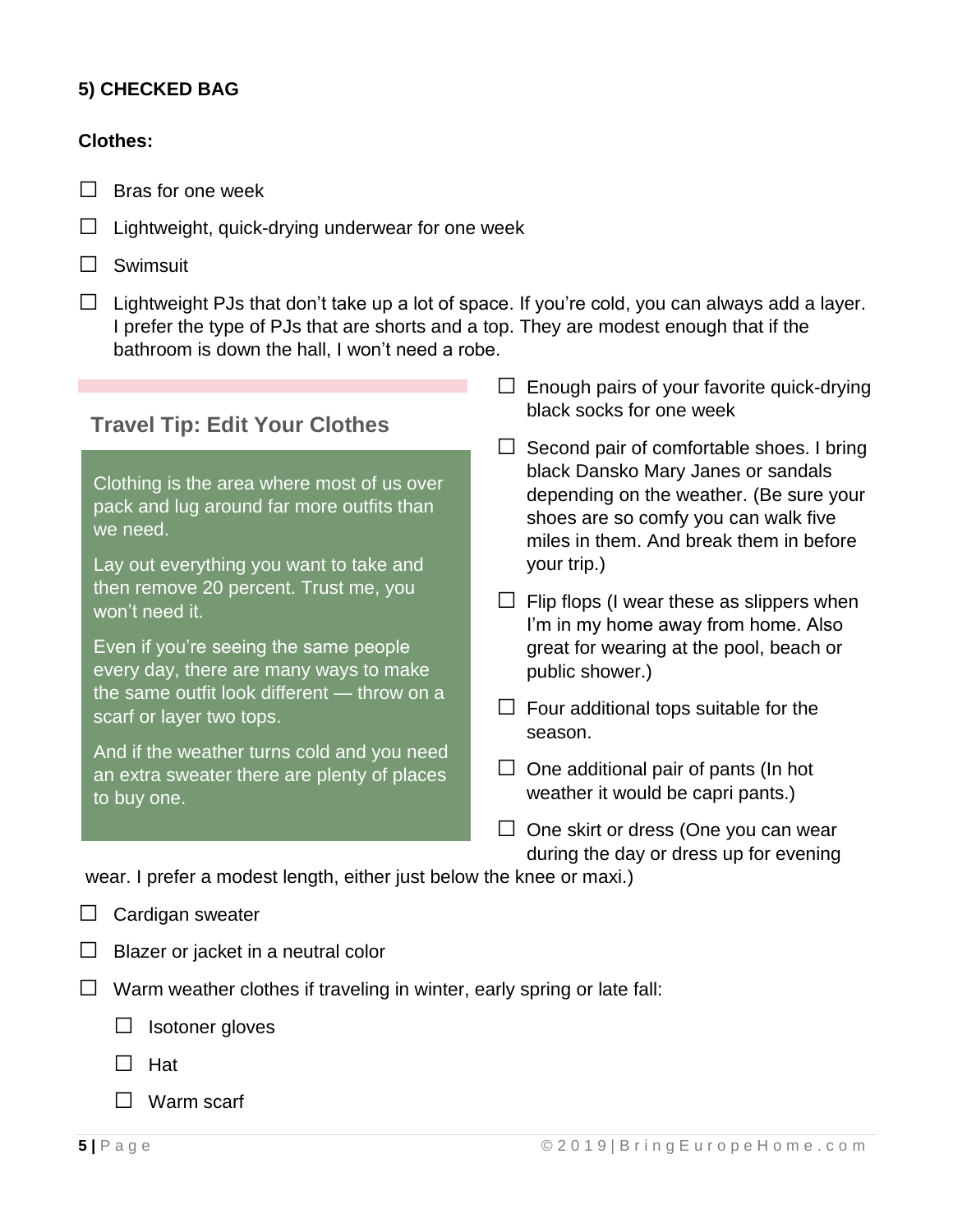# **5) CHECKED BAG**

#### **Clothes:**

- $\Box$  Bras for one week
- $\Box$  Lightweight, quick-drying underwear for one week
- □ Swimsuit
- $\Box$  Lightweight PJs that don't take up a lot of space. If you're cold, you can always add a layer. I prefer the type of PJs that are shorts and a top. They are modest enough that if the bathroom is down the hall, I won't need a robe.

# **Travel Tip: Edit Your Clothes**

Clothing is the area where most of us over pack and lug around far more outfits than we need.

Lay out everything you want to take and then remove 20 percent. Trust me, you won't need it.

Even if you're seeing the same people every day, there are many ways to make the same outfit look different — throw on a scarf or layer two tops.

And if the weather turns cold and you need an extra sweater there are plenty of places to buy one.

- $\square$  Enough pairs of your favorite quick-drying black socks for one week
- $\Box$  Second pair of comfortable shoes. I bring black Dansko Mary Janes or sandals depending on the weather. (Be sure your shoes are so comfy you can walk five miles in them. And break them in before your trip.)
- $\Box$  Flip flops (I wear these as slippers when I'm in my home away from home. Also great for wearing at the pool, beach or public shower.)
- $\Box$  Four additional tops suitable for the season.
- $\Box$  One additional pair of pants (In hot weather it would be capri pants.)
- $\Box$  One skirt or dress (One you can wear during the day or dress up for evening

wear. I prefer a modest length, either just below the knee or maxi.)

- $\Box$  Cardigan sweater
- $\Box$  Blazer or jacket in a neutral color
- $\Box$  Warm weather clothes if traveling in winter, early spring or late fall:

 $\Box$  Isotoner gloves

- □ Hat
- □ Warm scarf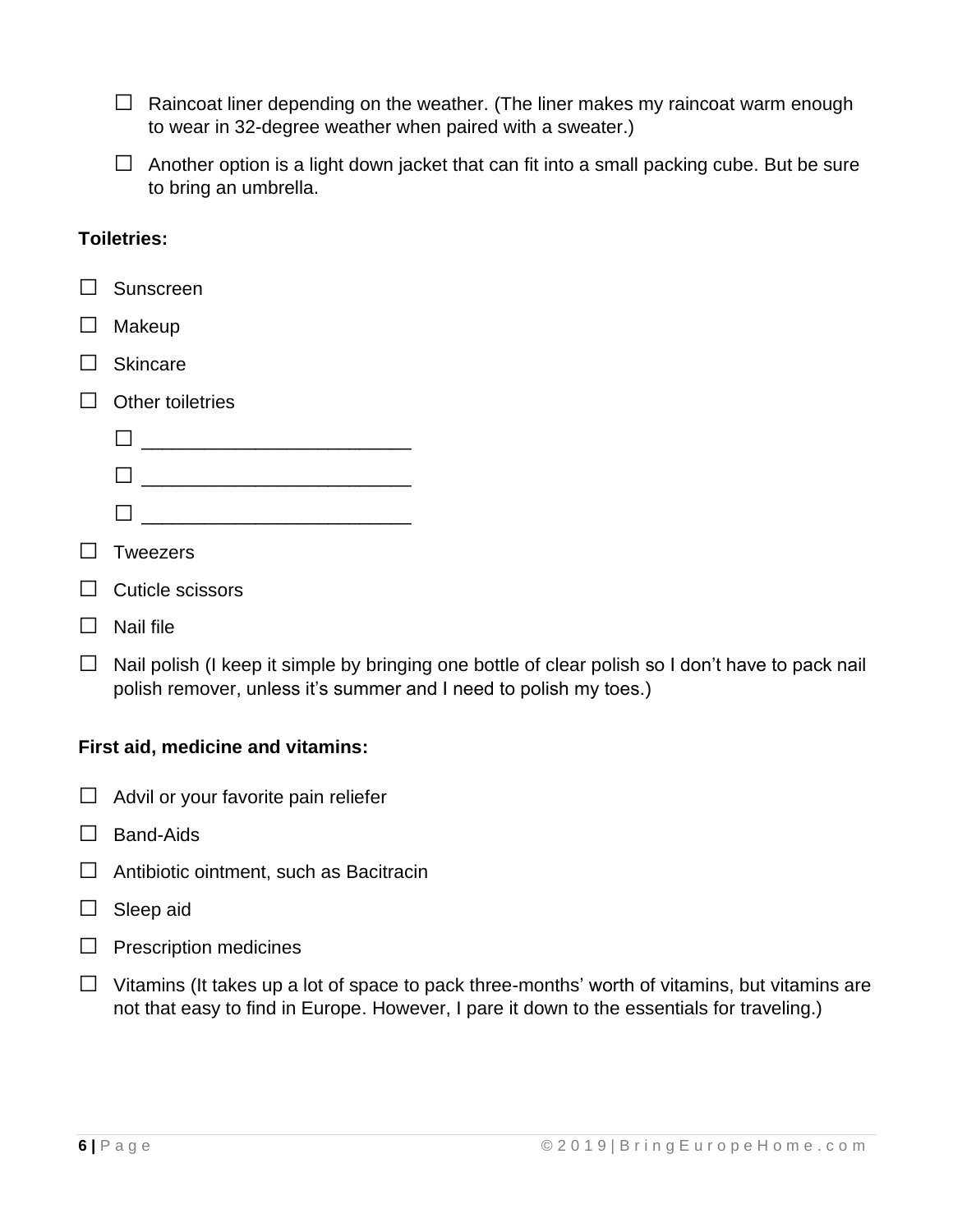$\Box$  Raincoat liner depending on the weather. (The liner makes my raincoat warm enough to wear in 32-degree weather when paired with a sweater.)

 $\Box$  Another option is a light down jacket that can fit into a small packing cube. But be sure to bring an umbrella.

#### **Toiletries:**

| $\Box$ Sunscreen        |
|-------------------------|
| $\Box$ Makeup           |
| $\Box$ Skincare         |
| Other toiletries        |
|                         |
|                         |
|                         |
| Tweezers                |
| $\Box$ Cuticle scissors |
| Nail file               |

 $\Box$  Nail polish (I keep it simple by bringing one bottle of clear polish so I don't have to pack nail polish remover, unless it's summer and I need to polish my toes.)

#### **First aid, medicine and vitamins:**

- $\Box$  Advil or your favorite pain reliefer
- $\Box$  Band-Aids
- $\Box$  Antibiotic ointment, such as Bacitracin
- $\Box$  Sleep aid
- $\Box$  Prescription medicines
- $\Box$  Vitamins (It takes up a lot of space to pack three-months' worth of vitamins, but vitamins are not that easy to find in Europe. However, I pare it down to the essentials for traveling.)